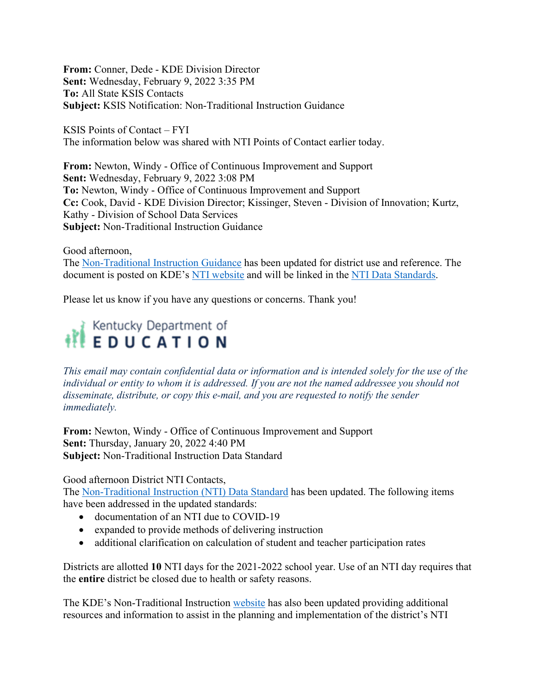**From:** Conner, Dede - KDE Division Director **Sent:** Wednesday, February 9, 2022 3:35 PM **To:** All State KSIS Contacts **Subject:** KSIS Notification: Non-Traditional Instruction Guidance

KSIS Points of Contact – FYI The information below was shared with NTI Points of Contact earlier today.

**From:** Newton, Windy - Office of Continuous Improvement and Support **Sent:** Wednesday, February 9, 2022 3:08 PM **To:** Newton, Windy - Office of Continuous Improvement and Support **Cc:** Cook, David - KDE Division Director; Kissinger, Steven - Division of Innovation; Kurtz, Kathy - Division of School Data Services **Subject:** Non-Traditional Instruction Guidance

Good afternoon, The [Non-Traditional Instruction Guidance](https://www.education.ky.gov/school/innov/Documents/NTI%20Guidance%20Document.pdf) has been updated for district use and reference. The document is posted on KDE's [NTI website](https://www.education.ky.gov/school/innov/Pages/Non-Traditional-Instruction.aspx) and will be linked in the [NTI Data Standards.](https://www.education.ky.gov/districts/tech/sis/Documents/DataStandardNonTraditionalInstruction.pdf)

Please let us know if you have any questions or concerns. Thank you!

## Kentucky Department of<br>
E D U C A T I O N

*This email may contain confidential data or information and is intended solely for the use of the individual or entity to whom it is addressed. If you are not the named addressee you should not disseminate, distribute, or copy this e-mail, and you are requested to notify the sender immediately.*

**From:** Newton, Windy - Office of Continuous Improvement and Support **Sent:** Thursday, January 20, 2022 4:40 PM **Subject:** Non-Traditional Instruction Data Standard

## Good afternoon District NTI Contacts,

The [Non-Traditional Instruction \(NTI\) Data Standard](https://education.ky.gov/districts/tech/sis/Documents/DataStandardNonTraditionalInstruction.pdf) has been updated. The following items have been addressed in the updated standards:

- documentation of an NTI due to COVID-19
- expanded to provide methods of delivering instruction
- additional clarification on calculation of student and teacher participation rates

Districts are allotted **10** NTI days for the 2021-2022 school year. Use of an NTI day requires that the **entire** district be closed due to health or safety reasons.

The KDE's Non-Traditional Instruction [website](https://education.ky.gov/school/innov/Pages/Non-Traditional-Instruction.aspx) has also been updated providing additional resources and information to assist in the planning and implementation of the district's NTI